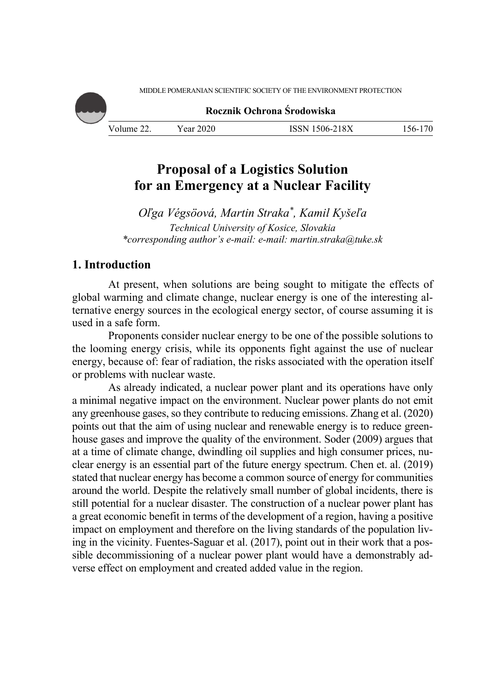

# **Proposal of a Logistics Solution for an Emergency at a Nuclear Facility**

*Oľga Végsöová, Martin Straka\*, Kamil Kyšeľa Technical University of Kosice, Slovakia \*corresponding author's e-mail: e-mail: martin.straka@tuke.sk* 

# **1. Introduction**

At present, when solutions are being sought to mitigate the effects of global warming and climate change, nuclear energy is one of the interesting alternative energy sources in the ecological energy sector, of course assuming it is used in a safe form.

Proponents consider nuclear energy to be one of the possible solutions to the looming energy crisis, while its opponents fight against the use of nuclear energy, because of: fear of radiation, the risks associated with the operation itself or problems with nuclear waste.

As already indicated, a nuclear power plant and its operations have only a minimal negative impact on the environment. Nuclear power plants do not emit any greenhouse gases, so they contribute to reducing emissions. Zhang et al. (2020) points out that the aim of using nuclear and renewable energy is to reduce greenhouse gases and improve the quality of the environment. Soder (2009) argues that at a time of climate change, dwindling oil supplies and high consumer prices, nuclear energy is an essential part of the future energy spectrum. Chen et. al. (2019) stated that nuclear energy has become a common source of energy for communities around the world. Despite the relatively small number of global incidents, there is still potential for a nuclear disaster. The construction of a nuclear power plant has a great economic benefit in terms of the development of a region, having a positive impact on employment and therefore on the living standards of the population living in the vicinity. Fuentes-Saguar et al. (2017), point out in their work that a possible decommissioning of a nuclear power plant would have a demonstrably adverse effect on employment and created added value in the region.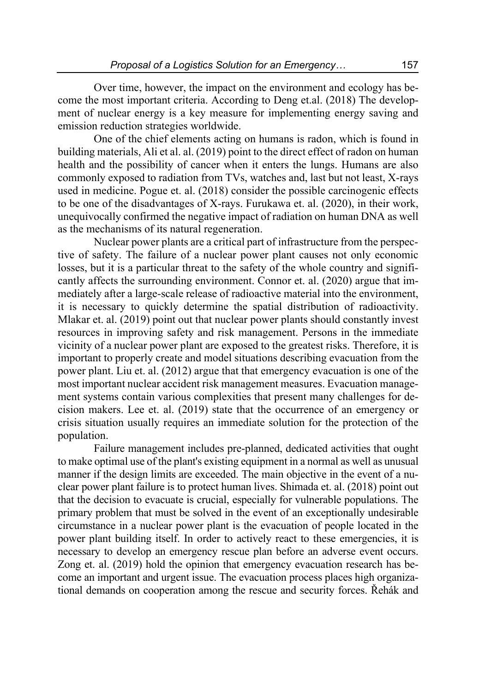Over time, however, the impact on the environment and ecology has become the most important criteria. According to Deng et.al. (2018) The development of nuclear energy is a key measure for implementing energy saving and emission reduction strategies worldwide.

One of the chief elements acting on humans is radon, which is found in building materials, Ali et al. al. (2019) point to the direct effect of radon on human health and the possibility of cancer when it enters the lungs. Humans are also commonly exposed to radiation from TVs, watches and, last but not least, X-rays used in medicine. Pogue et. al. (2018) consider the possible carcinogenic effects to be one of the disadvantages of X-rays. Furukawa et. al. (2020), in their work, unequivocally confirmed the negative impact of radiation on human DNA as well as the mechanisms of its natural regeneration.

Nuclear power plants are a critical part of infrastructure from the perspective of safety. The failure of a nuclear power plant causes not only economic losses, but it is a particular threat to the safety of the whole country and significantly affects the surrounding environment. Connor et. al. (2020) argue that immediately after a large-scale release of radioactive material into the environment, it is necessary to quickly determine the spatial distribution of radioactivity. Mlakar et. al. (2019) point out that nuclear power plants should constantly invest resources in improving safety and risk management. Persons in the immediate vicinity of a nuclear power plant are exposed to the greatest risks. Therefore, it is important to properly create and model situations describing evacuation from the power plant. Liu et. al. (2012) argue that that emergency evacuation is one of the most important nuclear accident risk management measures. Evacuation management systems contain various complexities that present many challenges for decision makers. Lee et. al. (2019) state that the occurrence of an emergency or crisis situation usually requires an immediate solution for the protection of the population.

Failure management includes pre-planned, dedicated activities that ought to make optimal use of the plant's existing equipment in a normal as well as unusual manner if the design limits are exceeded. The main objective in the event of a nuclear power plant failure is to protect human lives. Shimada et. al. (2018) point out that the decision to evacuate is crucial, especially for vulnerable populations. The primary problem that must be solved in the event of an exceptionally undesirable circumstance in a nuclear power plant is the evacuation of people located in the power plant building itself. In order to actively react to these emergencies, it is necessary to develop an emergency rescue plan before an adverse event occurs. Zong et. al. (2019) hold the opinion that emergency evacuation research has become an important and urgent issue. The evacuation process places high organizational demands on cooperation among the rescue and security forces. Řehák and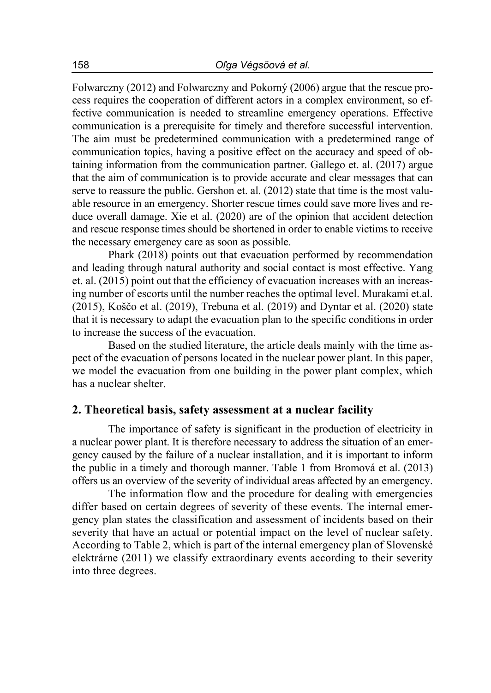Folwarczny (2012) and Folwarczny and Pokorný (2006) argue that the rescue process requires the cooperation of different actors in a complex environment, so effective communication is needed to streamline emergency operations. Effective communication is a prerequisite for timely and therefore successful intervention. The aim must be predetermined communication with a predetermined range of communication topics, having a positive effect on the accuracy and speed of obtaining information from the communication partner. Gallego et. al. (2017) argue that the aim of communication is to provide accurate and clear messages that can serve to reassure the public. Gershon et. al. (2012) state that time is the most valuable resource in an emergency. Shorter rescue times could save more lives and reduce overall damage. Xie et al. (2020) are of the opinion that accident detection and rescue response times should be shortened in order to enable victims to receive the necessary emergency care as soon as possible.

Phark (2018) points out that evacuation performed by recommendation and leading through natural authority and social contact is most effective. Yang et. al. (2015) point out that the efficiency of evacuation increases with an increasing number of escorts until the number reaches the optimal level. Murakami et.al. (2015), Koščo et al. (2019), Trebuna et al. (2019) and Dyntar et al. (2020) state that it is necessary to adapt the evacuation plan to the specific conditions in order to increase the success of the evacuation.

Based on the studied literature, the article deals mainly with the time aspect of the evacuation of persons located in the nuclear power plant. In this paper, we model the evacuation from one building in the power plant complex, which has a nuclear shelter.

## **2. Theoretical basis, safety assessment at a nuclear facility**

The importance of safety is significant in the production of electricity in a nuclear power plant. It is therefore necessary to address the situation of an emergency caused by the failure of a nuclear installation, and it is important to inform the public in a timely and thorough manner. Table 1 from Bromová et al. (2013) offers us an overview of the severity of individual areas affected by an emergency.

The information flow and the procedure for dealing with emergencies differ based on certain degrees of severity of these events. The internal emergency plan states the classification and assessment of incidents based on their severity that have an actual or potential impact on the level of nuclear safety. According to Table 2, which is part of the internal emergency plan of Slovenské elektrárne (2011) we classify extraordinary events according to their severity into three degrees.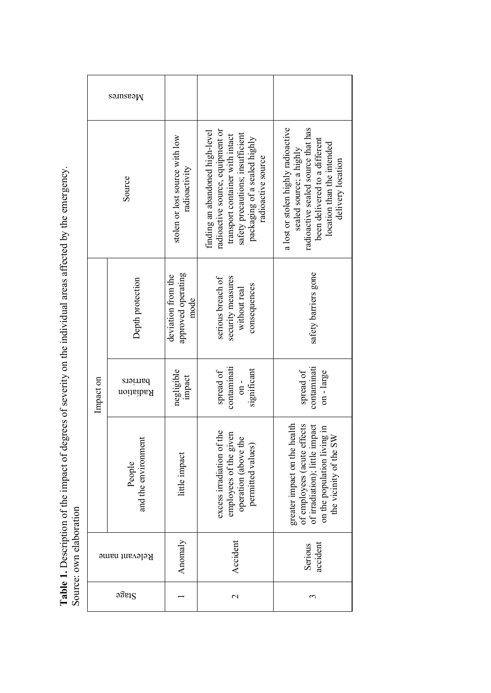Table 1. Description of the impact of degrees of severity on the individual areas affected by the emergency.<br>Source: own elaboration **Table 1.** Description of the impact of degrees of severity on the individual areas affected by the emergency. Source: own elaboration

|               | Measures                      |                                                  |                                                                                                                                                                                                  |                                                                                                                                                                                          |  |
|---------------|-------------------------------|--------------------------------------------------|--------------------------------------------------------------------------------------------------------------------------------------------------------------------------------------------------|------------------------------------------------------------------------------------------------------------------------------------------------------------------------------------------|--|
| Source        |                               | stolen or lost source with low<br>radioactivity  | radioactive source, equipment or<br>finding an abandoned high-level<br>satety precautions; insufficient<br>transport container with intact<br>packaging of a sealed highly<br>radioactive source | a lost or stolen highly radioactive<br>radioactive sealed source that has<br>been delivered to a different<br>location than the intended<br>sealed source; a highly<br>delivery location |  |
| Impact on     | Depth protection              | approved operating<br>deviation from the<br>mode | serious breach of<br>security measures<br>consequences<br>without real                                                                                                                           | safety barriers gone                                                                                                                                                                     |  |
|               | barriers<br>Radiation         | negligible<br>impact                             | contaminati<br>significant<br>spread of<br>$\sin$                                                                                                                                                | contaminati<br>spread of<br>$on - large$                                                                                                                                                 |  |
|               | and the environment<br>People | little impact                                    | excess irradiation of the<br>employees of the given<br>operation (above the<br>permitted values)                                                                                                 | greater impact on the health<br>of employees (acute effects<br>of irradiation); little impact<br>on the population living in<br>the vicinity of the SW                                   |  |
| Relevant name |                               | Anomaly                                          | Accident                                                                                                                                                                                         | accident<br>Serious                                                                                                                                                                      |  |
| $a$ gage      |                               |                                                  | 2                                                                                                                                                                                                | 3                                                                                                                                                                                        |  |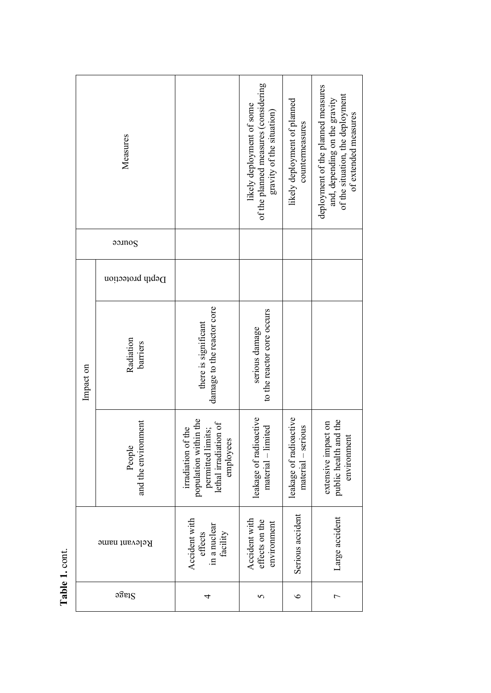| ς.<br>۴ |
|---------|
|         |
| ¢       |
| ٠       |
|         |

|           | Measures                      |                                                                                                        | of the planned measures (considering<br>likely deployment of some<br>gravity of the situation) | likely deployment of planned<br>countermeasures | deployment of the planned measures<br>of the situation, the deployment<br>and, depending on the gravity<br>of extended measures |
|-----------|-------------------------------|--------------------------------------------------------------------------------------------------------|------------------------------------------------------------------------------------------------|-------------------------------------------------|---------------------------------------------------------------------------------------------------------------------------------|
|           | 90M0S                         |                                                                                                        |                                                                                                |                                                 |                                                                                                                                 |
|           | Depth protection              |                                                                                                        |                                                                                                |                                                 |                                                                                                                                 |
| Impact on | Radiation<br>barriers         | damage to the reactor core<br>there is significant                                                     | to the reactor core occurs<br>serious damage                                                   |                                                 |                                                                                                                                 |
|           | and the environment<br>People | population within the<br>lethal irradiation of<br>irradiation of the<br>permitted limits;<br>employees | leakage of radioactive<br>material - limited                                                   | leakage of radioactive<br>$material - serious$  | public health and the<br>extensive impact on<br>environment                                                                     |
|           | Relevant name                 | with<br>in a nuclear<br>facility<br>effects<br>Accident                                                | Accident with<br>effects on the<br>environment                                                 | Serious accident                                | Large accident                                                                                                                  |
|           | Stage                         | 4                                                                                                      | 5                                                                                              | $\circ$                                         | 1                                                                                                                               |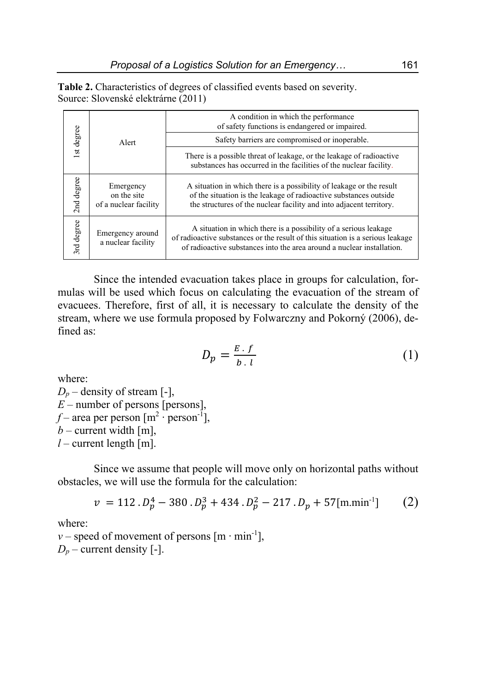**Table 2.** Characteristics of degrees of classified events based on severity. Source: Slovenské elektrárne (2011)

|            | Alert                                             | A condition in which the performance<br>of safety functions is endangered or impaired.                                                                                                                                       |  |  |  |
|------------|---------------------------------------------------|------------------------------------------------------------------------------------------------------------------------------------------------------------------------------------------------------------------------------|--|--|--|
| 1st degree |                                                   | Safety barriers are compromised or inoperable.                                                                                                                                                                               |  |  |  |
|            |                                                   | There is a possible threat of leakage, or the leakage of radioactive<br>substances has occurred in the facilities of the nuclear facility.                                                                                   |  |  |  |
| 2nd degree | Emergency<br>on the site<br>of a nuclear facility | A situation in which there is a possibility of leakage or the result<br>of the situation is the leakage of radioactive substances outside<br>the structures of the nuclear facility and into adjacent territory.             |  |  |  |
| 3rd degree | Emergency around<br>a nuclear facility            | A situation in which there is a possibility of a serious leakage<br>of radioactive substances or the result of this situation is a serious leakage<br>of radioactive substances into the area around a nuclear installation. |  |  |  |

Since the intended evacuation takes place in groups for calculation, formulas will be used which focus on calculating the evacuation of the stream of evacuees. Therefore, first of all, it is necessary to calculate the density of the stream, where we use formula proposed by Folwarczny and Pokorný (2006), defined as:

$$
D_p = \frac{E \cdot f}{b \cdot l} \tag{1}
$$

where:

 $D_p$  – density of stream [-],  $E$  – number of persons [persons], *f* – area per person  $[m^2 \cdot person^{-1}]$ ,  $b$  – current width [m],  $l$  – current length [m].

Since we assume that people will move only on horizontal paths without obstacles, we will use the formula for the calculation:

$$
v = 112 \cdot D_p^4 - 380 \cdot D_p^3 + 434 \cdot D_p^2 - 217 \cdot D_p + 57 \text{[m.min}^{-1} \text{]}
$$
 (2)

where:

*v* – speed of movement of persons  $[m \cdot min^{-1}]$ ,  $D_p$  – current density [-].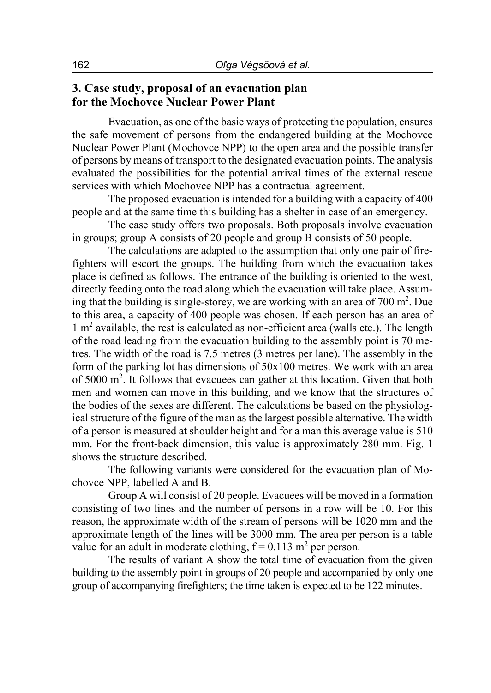# **3. Case study, proposal of an evacuation plan for the Mochovce Nuclear Power Plant**

Evacuation, as one of the basic ways of protecting the population, ensures the safe movement of persons from the endangered building at the Mochovce Nuclear Power Plant (Mochovce NPP) to the open area and the possible transfer of persons by means of transport to the designated evacuation points. The analysis evaluated the possibilities for the potential arrival times of the external rescue services with which Mochovce NPP has a contractual agreement.

The proposed evacuation is intended for a building with a capacity of 400 people and at the same time this building has a shelter in case of an emergency.

The case study offers two proposals. Both proposals involve evacuation in groups; group A consists of 20 people and group B consists of 50 people.

The calculations are adapted to the assumption that only one pair of firefighters will escort the groups. The building from which the evacuation takes place is defined as follows. The entrance of the building is oriented to the west, directly feeding onto the road along which the evacuation will take place. Assuming that the building is single-storey, we are working with an area of  $700 \text{ m}^2$ . Due to this area, a capacity of 400 people was chosen. If each person has an area of 1 m<sup>2</sup> available, the rest is calculated as non-efficient area (walls etc.). The length of the road leading from the evacuation building to the assembly point is 70 metres. The width of the road is 7.5 metres (3 metres per lane). The assembly in the form of the parking lot has dimensions of 50x100 metres. We work with an area of 5000 m<sup>2</sup>. It follows that evacuees can gather at this location. Given that both men and women can move in this building, and we know that the structures of the bodies of the sexes are different. The calculations be based on the physiological structure of the figure of the man as the largest possible alternative. The width of a person is measured at shoulder height and for a man this average value is 510 mm. For the front-back dimension, this value is approximately 280 mm. Fig. 1 shows the structure described.

The following variants were considered for the evacuation plan of Mochovce NPP, labelled A and B.

Group A will consist of 20 people. Evacuees will be moved in a formation consisting of two lines and the number of persons in a row will be 10. For this reason, the approximate width of the stream of persons will be 1020 mm and the approximate length of the lines will be 3000 mm. The area per person is a table value for an adult in moderate clothing,  $f = 0.113$  m<sup>2</sup> per person.

The results of variant A show the total time of evacuation from the given building to the assembly point in groups of 20 people and accompanied by only one group of accompanying firefighters; the time taken is expected to be 122 minutes.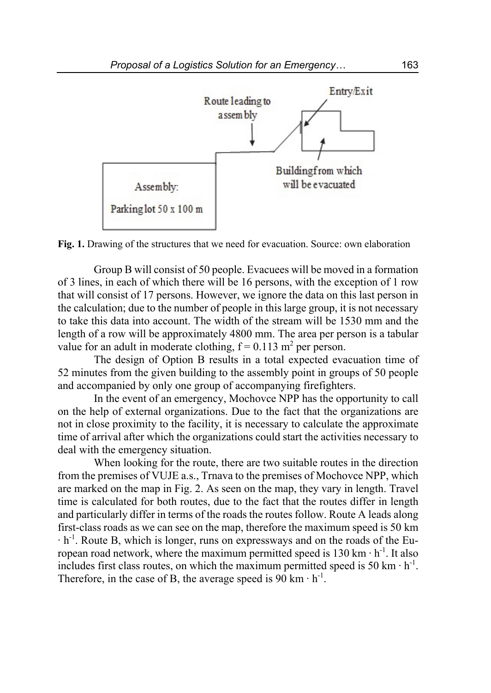

**Fig. 1.** Drawing of the structures that we need for evacuation. Source: own elaboration

Group B will consist of 50 people. Evacuees will be moved in a formation of 3 lines, in each of which there will be 16 persons, with the exception of 1 row that will consist of 17 persons. However, we ignore the data on this last person in the calculation; due to the number of people in this large group, it is not necessary to take this data into account. The width of the stream will be 1530 mm and the length of a row will be approximately 4800 mm. The area per person is a tabular value for an adult in moderate clothing,  $f = 0.113$  m<sup>2</sup> per person.

The design of Option B results in a total expected evacuation time of 52 minutes from the given building to the assembly point in groups of 50 people and accompanied by only one group of accompanying firefighters.

In the event of an emergency, Mochovce NPP has the opportunity to call on the help of external organizations. Due to the fact that the organizations are not in close proximity to the facility, it is necessary to calculate the approximate time of arrival after which the organizations could start the activities necessary to deal with the emergency situation.

When looking for the route, there are two suitable routes in the direction from the premises of VUJE a.s., Trnava to the premises of Mochovce NPP, which are marked on the map in Fig. 2. As seen on the map, they vary in length. Travel time is calculated for both routes, due to the fact that the routes differ in length and particularly differ in terms of the roads the routes follow. Route A leads along first-class roads as we can see on the map, therefore the maximum speed is 50 km ∙ h-1. Route B, which is longer, runs on expressways and on the roads of the European road network, where the maximum permitted speed is  $130 \text{ km} \cdot \text{h}^{-1}$ . It also includes first class routes, on which the maximum permitted speed is 50 km ⋅ h<sup>-1</sup>. Therefore, in the case of B, the average speed is 90 km  $\cdot$  h<sup>-1</sup>.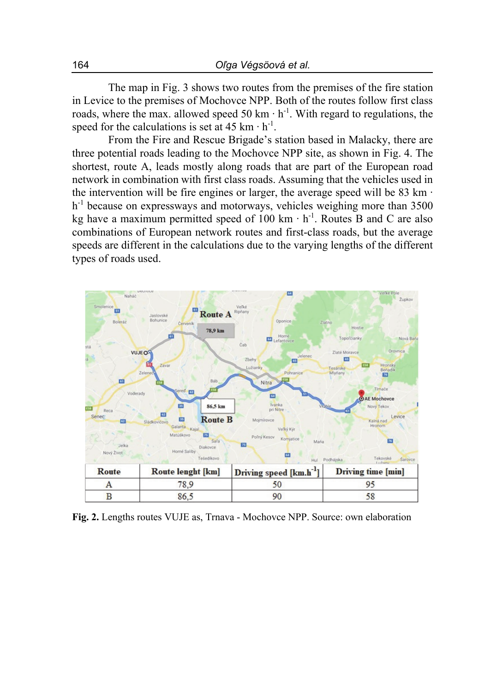The map in Fig. 3 shows two routes from the premises of the fire station in Levice to the premises of Mochovce NPP. Both of the routes follow first class roads, where the max. allowed speed 50 km ⋅ h<sup>-1</sup>. With regard to regulations, the speed for the calculations is set at 45 km  $\cdot$  h<sup>-1</sup>.

From the Fire and Rescue Brigade's station based in Malacky, there are three potential roads leading to the Mochovce NPP site, as shown in Fig. 4. The shortest, route A, leads mostly along roads that are part of the European road network in combination with first class roads. Assuming that the vehicles used in the intervention will be fire engines or larger, the average speed will be 83 km ∙ h<sup>-1</sup> because on expressways and motorways, vehicles weighing more than 3500 kg have a maximum permitted speed of 100 km ⋅ h<sup>-1</sup>. Routes B and C are also combinations of European network routes and first-class roads, but the average speeds are different in the calculations due to the varying lengths of the different types of roads used.



**Fig. 2.** Lengths routes VUJE as, Trnava - Mochovce NPP. Source: own elaboration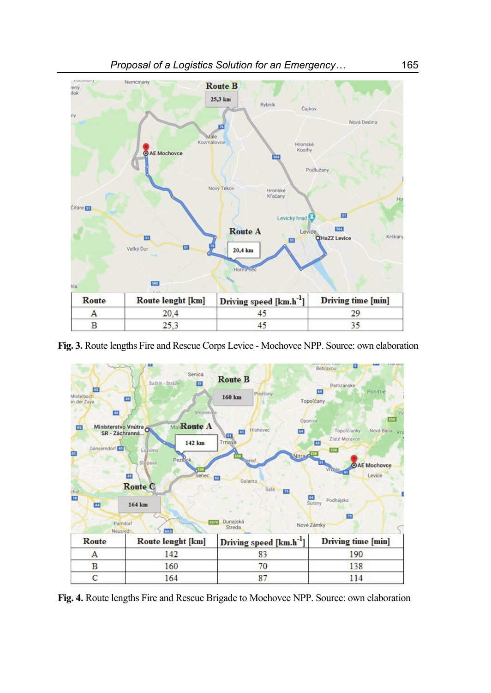

**Fig. 3.** Route lengths Fire and Rescue Corps Levice - Mochovce NPP. Source: own elaboration



**Fig. 4.** Route lengths Fire and Rescue Brigade to Mochovce NPP. Source: own elaboration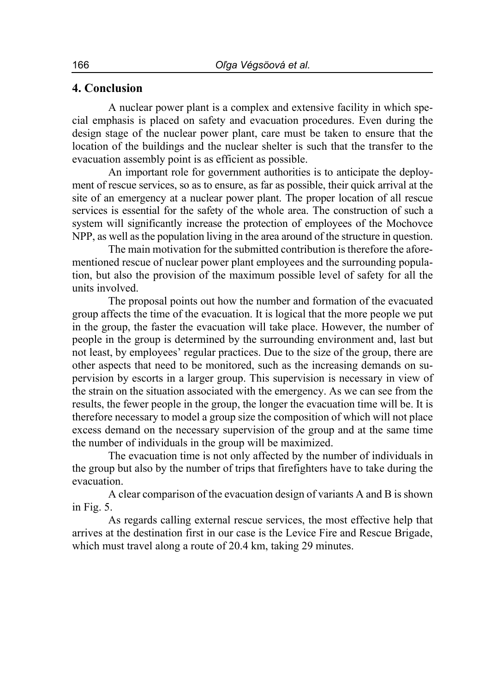## **4. Conclusion**

A nuclear power plant is a complex and extensive facility in which special emphasis is placed on safety and evacuation procedures. Even during the design stage of the nuclear power plant, care must be taken to ensure that the location of the buildings and the nuclear shelter is such that the transfer to the evacuation assembly point is as efficient as possible.

An important role for government authorities is to anticipate the deployment of rescue services, so as to ensure, as far as possible, their quick arrival at the site of an emergency at a nuclear power plant. The proper location of all rescue services is essential for the safety of the whole area. The construction of such a system will significantly increase the protection of employees of the Mochovce NPP, as well as the population living in the area around of the structure in question.

The main motivation for the submitted contribution is therefore the aforementioned rescue of nuclear power plant employees and the surrounding population, but also the provision of the maximum possible level of safety for all the units involved.

The proposal points out how the number and formation of the evacuated group affects the time of the evacuation. It is logical that the more people we put in the group, the faster the evacuation will take place. However, the number of people in the group is determined by the surrounding environment and, last but not least, by employees' regular practices. Due to the size of the group, there are other aspects that need to be monitored, such as the increasing demands on supervision by escorts in a larger group. This supervision is necessary in view of the strain on the situation associated with the emergency. As we can see from the results, the fewer people in the group, the longer the evacuation time will be. It is therefore necessary to model a group size the composition of which will not place excess demand on the necessary supervision of the group and at the same time the number of individuals in the group will be maximized.

The evacuation time is not only affected by the number of individuals in the group but also by the number of trips that firefighters have to take during the evacuation.

A clear comparison of the evacuation design of variants A and B is shown in Fig. 5.

As regards calling external rescue services, the most effective help that arrives at the destination first in our case is the Levice Fire and Rescue Brigade, which must travel along a route of 20.4 km, taking 29 minutes.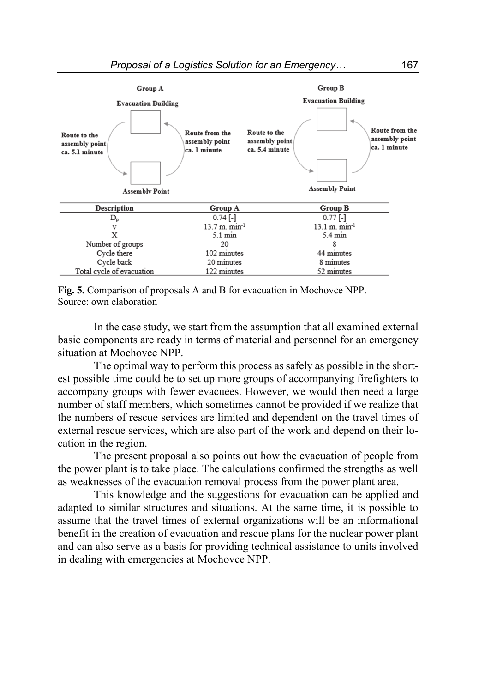

**Fig. 5.** Comparison of proposals A and B for evacuation in Mochovce NPP. Source: own elaboration

In the case study, we start from the assumption that all examined external basic components are ready in terms of material and personnel for an emergency situation at Mochovce NPP.

The optimal way to perform this process as safely as possible in the shortest possible time could be to set up more groups of accompanying firefighters to accompany groups with fewer evacuees. However, we would then need a large number of staff members, which sometimes cannot be provided if we realize that the numbers of rescue services are limited and dependent on the travel times of external rescue services, which are also part of the work and depend on their location in the region.

The present proposal also points out how the evacuation of people from the power plant is to take place. The calculations confirmed the strengths as well as weaknesses of the evacuation removal process from the power plant area.

This knowledge and the suggestions for evacuation can be applied and adapted to similar structures and situations. At the same time, it is possible to assume that the travel times of external organizations will be an informational benefit in the creation of evacuation and rescue plans for the nuclear power plant and can also serve as a basis for providing technical assistance to units involved in dealing with emergencies at Mochovce NPP.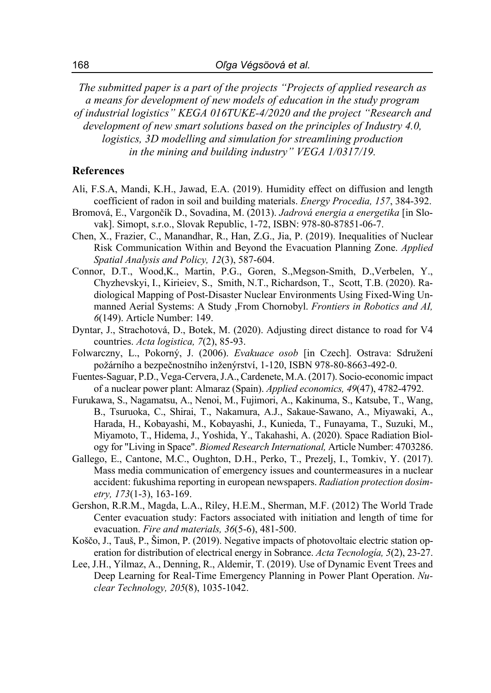*The submitted paper is a part of the projects "Projects of applied research as a means for development of new models of education in the study program of industrial logistics" KEGA 016TUKE-4/2020 and the project "Research and development of new smart solutions based on the principles of Industry 4.0, logistics, 3D modelling and simulation for streamlining production in the mining and building industry" VEGA 1/0317/19.* 

## **References**

- Ali, F.S.A, Mandi, K.H., Jawad, E.A. (2019). Humidity effect on diffusion and length coefficient of radon in soil and building materials. *Energy Procedia, 157*, 384-392.
- Bromová, E., Vargončík D., Sovadina, M. (2013). *Jadrová energia a energetika* [in Slovak]. Simopt, s.r.o., Slovak Republic, 1-72, ISBN: 978-80-87851-06-7.
- Chen, X., Frazier, C., Manandhar, R., Han, Z.G., Jia, P. (2019). Inequalities of Nuclear Risk Communication Within and Beyond the Evacuation Planning Zone. *Applied Spatial Analysis and Policy, 12*(3), 587-604.
- Connor, D.T., Wood,K., Martin, P.G., Goren, S.,Megson-Smith, D.,Verbelen, Y., Chyzhevskyi, I., Kirieiev, S., Smith, N.T., Richardson, T., Scott, T.B. (2020). Radiological Mapping of Post-Disaster Nuclear Environments Using Fixed-Wing Unmanned Aerial Systems: A Study ,From Chornobyl. *Frontiers in Robotics and AI, 6*(149). Article Number: 149.
- Dyntar, J., Strachotová, D., Botek, M. (2020). Adjusting direct distance to road for V4 countries. *Acta logistica, 7*(2), 85-93.
- Folwarczny, L., Pokorný, J. (2006). *Evakuace osob* [in Czech]. Ostrava: Sdružení požárního a bezpečnostního inženýrství, 1-120, ISBN 978-80-8663-492-0.
- Fuentes-Saguar, P.D., Vega-Cervera, J.A., Cardenete, M.A. (2017). Socio-economic impact of a nuclear power plant: Almaraz (Spain). *Applied economics, 49*(47), 4782-4792.
- Furukawa, S., Nagamatsu, A., Nenoi, M., Fujimori, A., Kakinuma, S., Katsube, T., Wang, B., Tsuruoka, C., Shirai, T., Nakamura, A.J., Sakaue-Sawano, A., Miyawaki, A., Harada, H., Kobayashi, M., Kobayashi, J., Kunieda, T., Funayama, T., Suzuki, M., Miyamoto, T., Hidema, J., Yoshida, Y., Takahashi, A. (2020). Space Radiation Biology for "Living in Space". *Biomed Research International,* Article Number: 4703286.
- Gallego, E., Cantone, M.C., Oughton, D.H., Perko, T., Prezelj, I., Tomkiv, Y. (2017). Mass media communication of emergency issues and countermeasures in a nuclear accident: fukushima reporting in european newspapers. *Radiation protection dosimetry, 173*(1-3), 163-169.
- Gershon, R.R.M., Magda, L.A., Riley, H.E.M., Sherman, M.F. (2012) The World Trade Center evacuation study: Factors associated with initiation and length of time for evacuation. *Fire and materials, 36*(5-6), 481-500.
- Koščo, J., Tauš, P., Šimon, P. (2019). Negative impacts of photovoltaic electric station operation for distribution of electrical energy in Sobrance. *Acta Tecnología, 5*(2), 23-27.
- Lee, J.H., Yilmaz, A., Denning, R., Aldemir, T. (2019). Use of Dynamic Event Trees and Deep Learning for Real-Time Emergency Planning in Power Plant Operation. *Nuclear Technology, 205*(8), 1035-1042.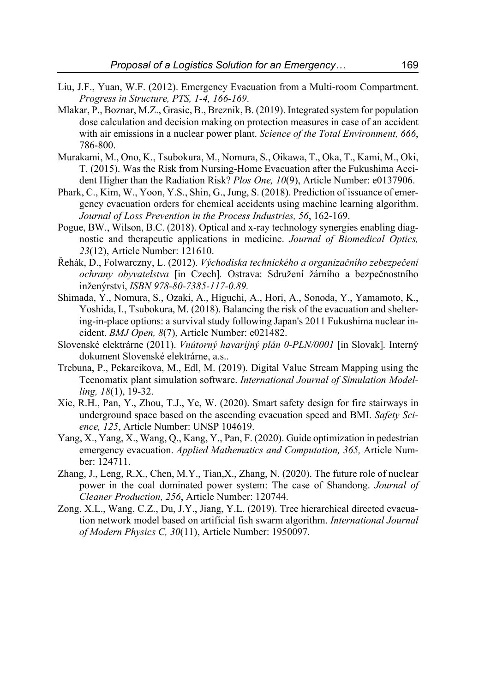- Liu, J.F., Yuan, W.F. (2012). Emergency Evacuation from a Multi-room Compartment. *Progress in Structure, PTS, 1-4, 166-169*.
- Mlakar, P., Boznar, M.Z., Grasic, B., Breznik, B. (2019). Integrated system for population dose calculation and decision making on protection measures in case of an accident with air emissions in a nuclear power plant. *Science of the Total Environment, 666*, 786-800.
- Murakami, M., Ono, K., Tsubokura, M., Nomura, S., Oikawa, T., Oka, T., Kami, M., Oki, T. (2015). Was the Risk from Nursing-Home Evacuation after the Fukushima Accident Higher than the Radiation Risk? *Plos One, 10*(9), Article Number: e0137906.
- Phark, C., Kim, W., Yoon, Y.S., Shin, G., Jung, S. (2018). Prediction of issuance of emergency evacuation orders for chemical accidents using machine learning algorithm. *Journal of Loss Prevention in the Process Industries, 56*, 162-169.
- Pogue, BW., Wilson, B.C. (2018). Optical and x-ray technology synergies enabling diagnostic and therapeutic applications in medicine. *Journal of Biomedical Optics, 23*(12), Article Number: 121610.
- Řehák, D., Folwarczny, L. (2012). *Východiska technického a organizačního zebezpečení ochrany obyvatelstva* [in Czech]*.* Ostrava: Sdružení žárního a bezpečnostního inženýrství, *ISBN 978-80-7385-117-0.89.*
- Shimada, Y., Nomura, S., Ozaki, A., Higuchi, A., Hori, A., Sonoda, Y., Yamamoto, K., Yoshida, I., Tsubokura, M. (2018). Balancing the risk of the evacuation and sheltering-in-place options: a survival study following Japan's 2011 Fukushima nuclear incident. *BMJ Open, 8*(7), Article Number: e021482.
- Slovenské elektrárne (2011). *Vnútorný havarijný plán 0-PLN/0001* [in Slovak]*.* Interný dokument Slovenské elektrárne, a.s..
- Trebuna, P., Pekarcikova, M., Edl, M. (2019). Digital Value Stream Mapping using the Tecnomatix plant simulation software. *International Journal of Simulation Modelling, 18*(1), 19-32.
- Xie, R.H., Pan, Y., Zhou, T.J., Ye, W. (2020). Smart safety design for fire stairways in underground space based on the ascending evacuation speed and BMI. *Safety Science, 125*, Article Number: UNSP 104619.
- Yang, X., Yang, X., Wang, Q., Kang, Y., Pan, F. (2020). Guide optimization in pedestrian emergency evacuation. *Applied Mathematics and Computation, 365,* Article Number: 124711.
- Zhang, J., Leng, R.X., Chen, M.Y., Tian,X., Zhang, N. (2020). The future role of nuclear power in the coal dominated power system: The case of Shandong. *Journal of Cleaner Production, 256*, Article Number: 120744.
- Zong, X.L., Wang, C.Z., Du, J.Y., Jiang, Y.L. (2019). Tree hierarchical directed evacuation network model based on artificial fish swarm algorithm. *International Journal of Modern Physics C, 30*(11), Article Number: 1950097.